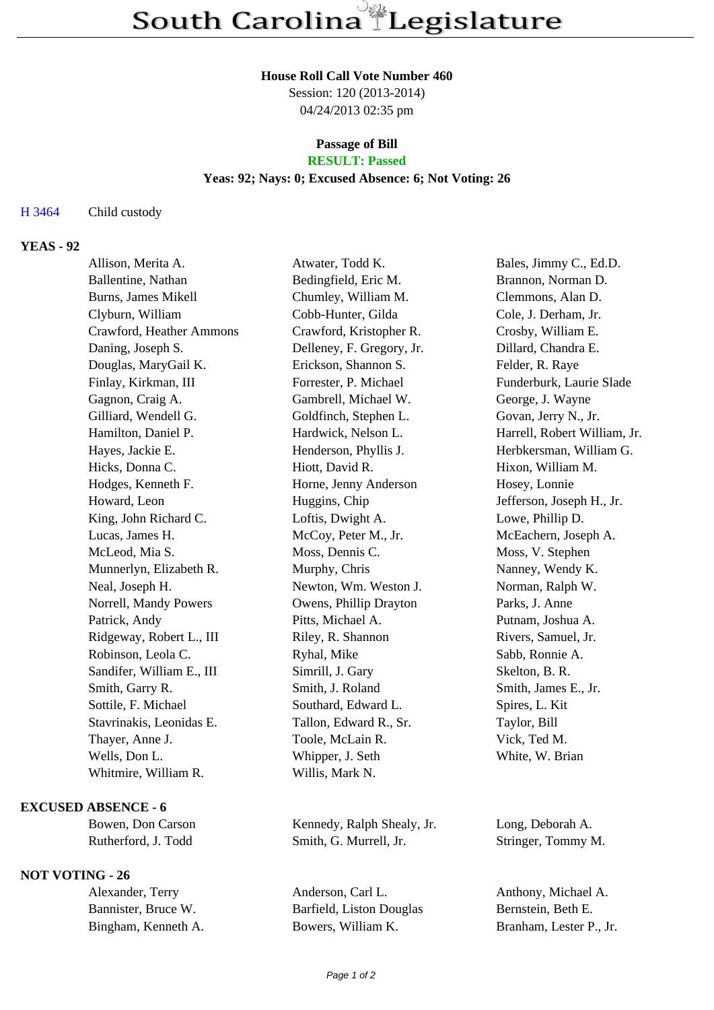## **House Roll Call Vote Number 460**

Session: 120 (2013-2014) 04/24/2013 02:35 pm

## **Passage of Bill RESULT: Passed**

# **Yeas: 92; Nays: 0; Excused Absence: 6; Not Voting: 26**

H 3464 Child custody

# **YEAS - 92**

| Allison, Merita A.        | Atwater, Todd K.          | Bales, Jimmy C., Ed.D.       |
|---------------------------|---------------------------|------------------------------|
| Ballentine, Nathan        | Bedingfield, Eric M.      | Brannon, Norman D.           |
| Burns, James Mikell       | Chumley, William M.       | Clemmons, Alan D.            |
| Clyburn, William          | Cobb-Hunter, Gilda        | Cole, J. Derham, Jr.         |
| Crawford, Heather Ammons  | Crawford, Kristopher R.   | Crosby, William E.           |
| Daning, Joseph S.         | Delleney, F. Gregory, Jr. | Dillard, Chandra E.          |
| Douglas, MaryGail K.      | Erickson, Shannon S.      | Felder, R. Raye              |
| Finlay, Kirkman, III      | Forrester, P. Michael     | Funderburk, Laurie Slade     |
| Gagnon, Craig A.          | Gambrell, Michael W.      | George, J. Wayne             |
| Gilliard, Wendell G.      | Goldfinch, Stephen L.     | Govan, Jerry N., Jr.         |
| Hamilton, Daniel P.       | Hardwick, Nelson L.       | Harrell, Robert William, Jr. |
| Hayes, Jackie E.          | Henderson, Phyllis J.     | Herbkersman, William G.      |
| Hicks, Donna C.           | Hiott, David R.           | Hixon, William M.            |
| Hodges, Kenneth F.        | Horne, Jenny Anderson     | Hosey, Lonnie                |
| Howard, Leon              | Huggins, Chip             | Jefferson, Joseph H., Jr.    |
| King, John Richard C.     | Loftis, Dwight A.         | Lowe, Phillip D.             |
| Lucas, James H.           | McCoy, Peter M., Jr.      | McEachern, Joseph A.         |
| McLeod, Mia S.            | Moss, Dennis C.           | Moss, V. Stephen             |
| Munnerlyn, Elizabeth R.   | Murphy, Chris             | Nanney, Wendy K.             |
| Neal, Joseph H.           | Newton, Wm. Weston J.     | Norman, Ralph W.             |
| Norrell, Mandy Powers     | Owens, Phillip Drayton    | Parks, J. Anne               |
| Patrick, Andy             | Pitts, Michael A.         | Putnam, Joshua A.            |
| Ridgeway, Robert L., III  | Riley, R. Shannon         | Rivers, Samuel, Jr.          |
| Robinson, Leola C.        | Ryhal, Mike               | Sabb, Ronnie A.              |
| Sandifer, William E., III | Simrill, J. Gary          | Skelton, B. R.               |
| Smith, Garry R.           | Smith, J. Roland          | Smith, James E., Jr.         |
| Sottile, F. Michael       | Southard, Edward L.       | Spires, L. Kit               |
| Stavrinakis, Leonidas E.  | Tallon, Edward R., Sr.    | Taylor, Bill                 |
| Thayer, Anne J.           | Toole, McLain R.          | Vick, Ted M.                 |
| Wells, Don L.             | Whipper, J. Seth          | White, W. Brian              |
| Whitmire, William R.      | Willis, Mark N.           |                              |
|                           |                           |                              |

### **EXCUSED ABSENCE - 6**

## **NOT VOTING - 26**

Bowen, Don Carson Kennedy, Ralph Shealy, Jr. Long, Deborah A. Rutherford, J. Todd Smith, G. Murrell, Jr. Stringer, Tommy M.

Alexander, Terry Anderson, Carl L. Anthony, Michael A. Bannister, Bruce W. Barfield, Liston Douglas Bernstein, Beth E. Bingham, Kenneth A. Bowers, William K. Branham, Lester P., Jr.